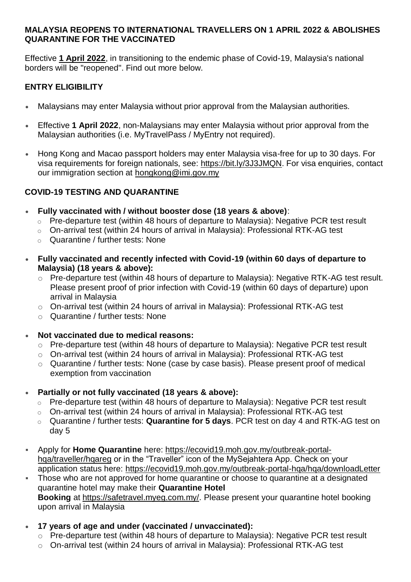### **MALAYSIA REOPENS TO INTERNATIONAL TRAVELLERS ON 1 APRIL 2022 & ABOLISHES QUARANTINE FOR THE VACCINATED**

Effective **1 April 2022**, in transitioning to the endemic phase of Covid-19, Malaysia's national borders will be "reopened". Find out more below.

# **ENTRY ELIGIBILITY**

- Malaysians may enter Malaysia without prior approval from the Malaysian authorities.
- Effective **1 April 2022**, non-Malaysians may enter Malaysia without prior approval from the Malaysian authorities (i.e. MyTravelPass / MyEntry not required).
- Hong Kong and Macao passport holders may enter Malaysia visa-free for up to 30 days. For visa requirements for foreign nationals, see: [https://bit.ly/3J3JMQN.](https://bit.ly/3J3JMQN) For visa enquiries, contact our immigration section at [hongkong@imi.gov.my](mailto:hongkong@imi.gov.my)

## **COVID-19 TESTING AND QUARANTINE**

- **Fully vaccinated with / without booster dose (18 years & above)**:
	- o Pre-departure test (within 48 hours of departure to Malaysia): Negative PCR test result
	- o On-arrival test (within 24 hours of arrival in Malaysia): Professional RTK-AG test
	- o Quarantine / further tests: None
- **Fully vaccinated and recently infected with Covid-19 (within 60 days of departure to Malaysia) (18 years & above):**
	- o Pre-departure test (within 48 hours of departure to Malaysia): Negative RTK-AG test result. Please present proof of prior infection with Covid-19 (within 60 days of departure) upon arrival in Malaysia
	- o On-arrival test (within 24 hours of arrival in Malaysia): Professional RTK-AG test
	- o Quarantine / further tests: None

## • **Not vaccinated due to medical reasons:**

- o Pre-departure test (within 48 hours of departure to Malaysia): Negative PCR test result
- o On-arrival test (within 24 hours of arrival in Malaysia): Professional RTK-AG test
- o Quarantine / further tests: None (case by case basis). Please present proof of medical exemption from vaccination
- **Partially or not fully vaccinated (18 years & above):**
	- o Pre-departure test (within 48 hours of departure to Malaysia): Negative PCR test result
	- o On-arrival test (within 24 hours of arrival in Malaysia): Professional RTK-AG test
	- o Quarantine / further tests: **Quarantine for 5 days**. PCR test on day 4 and RTK-AG test on day 5
- Apply for **Home Quarantine** here: [https://ecovid19.moh.gov.my/outbreak-portal](https://ecovid19.moh.gov.my/outbreak-portal-hqa/traveller/hqareg)hga/traveller/hgareg or in the "Traveller" icon of the MySeiahtera App. Check on your application status here: <https://ecovid19.moh.gov.my/outbreak-portal-hqa/hqa/downloadLetter>
- **EXED** Those who are not approved for home quarantine or choose to quarantine at a designated quarantine hotel may make their **Quarantine Hotel Booking** at [https://safetravel.myeg.com.my/.](https://safetravel.myeg.com.my/) Please present your quarantine hotel booking upon arrival in Malaysia
- **17 years of age and under (vaccinated / unvaccinated):**
	- o Pre-departure test (within 48 hours of departure to Malaysia): Negative PCR test result
	- o On-arrival test (within 24 hours of arrival in Malaysia): Professional RTK-AG test